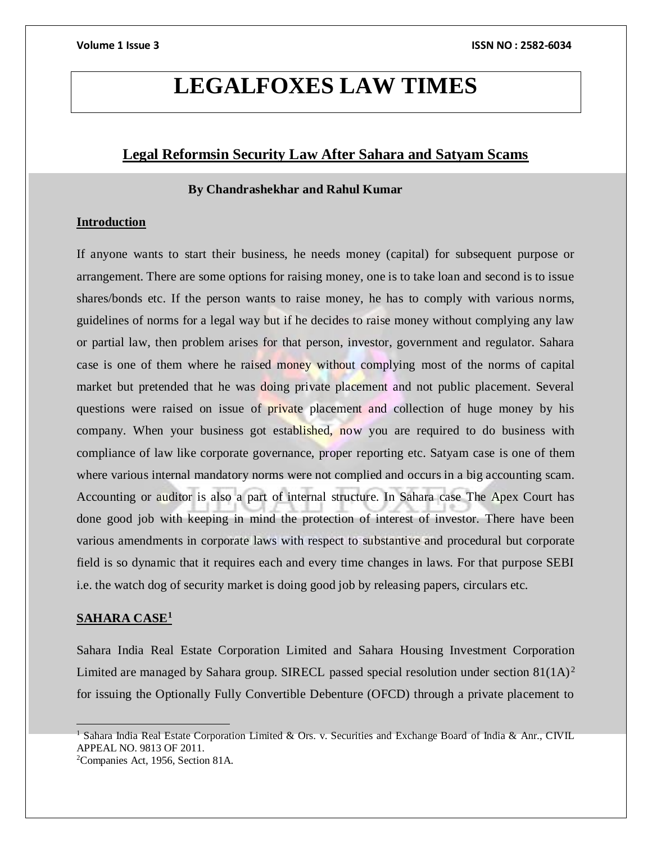## **LEGALFOXES LAW TIMES**

### **Legal Reformsin Security Law After Sahara and Satyam Scams**

### **By Chandrashekhar and Rahul Kumar**

### **Introduction**

If anyone wants to start their business, he needs money (capital) for subsequent purpose or arrangement. There are some options for raising money, one is to take loan and second is to issue shares/bonds etc. If the person wants to raise money, he has to comply with various norms, guidelines of norms for a legal way but if he decides to raise money without complying any law or partial law, then problem arises for that person, investor, government and regulator. Sahara case is one of them where he raised money without complying most of the norms of capital market but pretended that he was doing private placement and not public placement. Several questions were raised on issue of private placement and collection of huge money by his company. When your business got established, now you are required to do business with compliance of law like corporate governance, proper reporting etc. Satyam case is one of them where various internal mandatory norms were not complied and occurs in a big accounting scam. Accounting or auditor is also a part of internal structure. In Sahara case The Apex Court has done good job with keeping in mind the protection of interest of investor. There have been various amendments in corporate laws with respect to substantive and procedural but corporate field is so dynamic that it requires each and every time changes in laws. For that purpose SEBI i.e. the watch dog of security market is doing good job by releasing papers, circulars etc.

### **SAHARA CASE<sup>1</sup>**

Sahara India Real Estate Corporation Limited and Sahara Housing Investment Corporation Limited are managed by Sahara group. SIRECL passed special resolution under section  $81(1A)^2$ for issuing the Optionally Fully Convertible Debenture (OFCD) through a private placement to

<sup>&</sup>lt;sup>1</sup> Sahara India Real Estate Corporation Limited & Ors. v. Securities and Exchange Board of India & Anr., CIVIL APPEAL NO. 9813 OF 2011.

<sup>2</sup>Companies Act, 1956, Section 81A.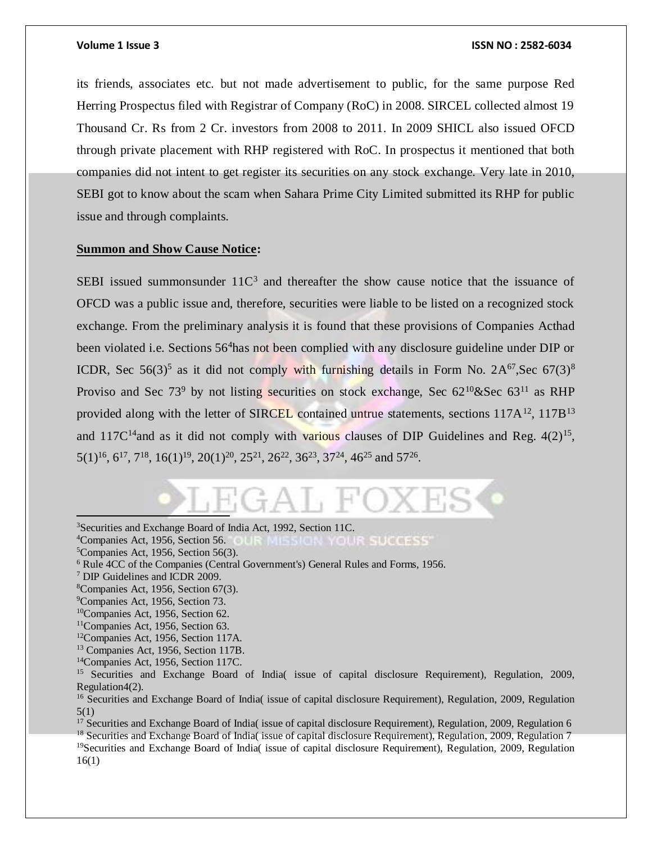its friends, associates etc. but not made advertisement to public, for the same purpose Red Herring Prospectus filed with Registrar of Company (RoC) in 2008. SIRCEL collected almost 19 Thousand Cr. Rs from 2 Cr. investors from 2008 to 2011. In 2009 SHICL also issued OFCD through private placement with RHP registered with RoC. In prospectus it mentioned that both companies did not intent to get register its securities on any stock exchange. Very late in 2010, SEBI got to know about the scam when Sahara Prime City Limited submitted its RHP for public issue and through complaints.

### **Summon and Show Cause Notice:**

SEBI issued summonsunder  $11C<sup>3</sup>$  and thereafter the show cause notice that the issuance of OFCD was a public issue and, therefore, securities were liable to be listed on a recognized stock exchange. From the preliminary analysis it is found that these provisions of Companies Acthad been violated i.e. Sections 56<sup>4</sup>has not been complied with any disclosure guideline under DIP or ICDR, Sec 56(3)<sup>5</sup> as it did not comply with furnishing details in Form No.  $2A^{67}$ , Sec 67(3)<sup>8</sup> Proviso and Sec  $73^9$  by not listing securities on stock exchange, Sec  $62^{10}$ &Sec  $63^{11}$  as RHP provided along with the letter of SIRCEL contained untrue statements, sections  $117A^{12}$ ,  $117B^{13}$ and  $117C^{14}$  and as it did not comply with various clauses of DIP Guidelines and Reg.  $4(2)^{15}$ ,  $5(1)^{16}$ ,  $6^{17}$ ,  $7^{18}$ ,  $16(1)^{19}$ ,  $20(1)^{20}$ ,  $25^{21}$ ,  $26^{22}$ ,  $36^{23}$ ,  $37^{24}$ ,  $46^{25}$  and  $57^{26}$ .

<sup>3</sup>Securities and Exchange Board of India Act, 1992, Section 11C.

<sup>4</sup>Companies Act, 1956, Section 56. <sup>\*</sup>Companies Act, 1956, Section 56. **EXECUTE MILLS REGIST** SUCCESS<sup>\*</sup>Companies Act, 1956, Section 56(3).

 $\overline{a}$ 

<sup>9</sup>Companies Act, 1956, Section 73.

<sup>12</sup>Companies Act, 1956, Section 117A.

<sup>13</sup> Companies Act, 1956, Section 117B.

<sup>14</sup>Companies Act, 1956, Section 117C.

<sup>15</sup> Securities and Exchange Board of India( issue of capital disclosure Requirement), Regulation, 2009, Regulation4(2).

<sup>16</sup> Securities and Exchange Board of India( issue of capital disclosure Requirement), Regulation, 2009, Regulation 5(1)

<sup>17</sup> Securities and Exchange Board of India( issue of capital disclosure Requirement), Regulation, 2009, Regulation 6 <sup>18</sup> Securities and Exchange Board of India( issue of capital disclosure Requirement), Regulation, 2009, Regulation 7 <sup>19</sup>Securities and Exchange Board of India( issue of capital disclosure Requirement), Regulation, 2009, Regulation 16(1)

<sup>6</sup> Rule 4CC of the Companies (Central Government's) General Rules and Forms, 1956.

<sup>7</sup> DIP Guidelines and ICDR 2009.

 ${}^8$ Companies Act, 1956, Section 67(3).

<sup>10</sup>Companies Act, 1956, Section 62.

<sup>&</sup>lt;sup>11</sup>Companies Act, 1956, Section 63.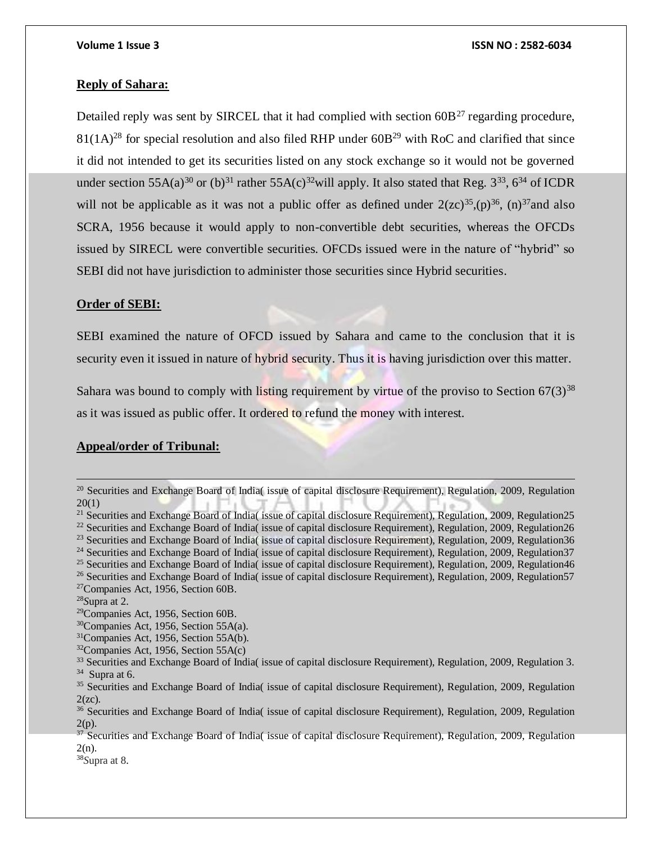### **Reply of Sahara:**

Detailed reply was sent by SIRCEL that it had complied with section  $60B^{27}$  regarding procedure,  $81(1A)^{28}$  for special resolution and also filed RHP under 60B<sup>29</sup> with RoC and clarified that since it did not intended to get its securities listed on any stock exchange so it would not be governed under section 55A(a)<sup>30</sup> or (b)<sup>31</sup> rather 55A(c)<sup>32</sup>will apply. It also stated that Reg.  $3^{33}$ ,  $6^{34}$  of ICDR will not be applicable as it was not a public offer as defined under  $2(zc)^{35}$ ,  $(p)^{36}$ ,  $(n)^{37}$  and also SCRA, 1956 because it would apply to non-convertible debt securities, whereas the OFCDs issued by SIRECL were convertible securities. OFCDs issued were in the nature of "hybrid" so SEBI did not have jurisdiction to administer those securities since Hybrid securities.

### **Order of SEBI:**

SEBI examined the nature of OFCD issued by Sahara and came to the conclusion that it is security even it issued in nature of hybrid security. Thus it is having jurisdiction over this matter.

Sahara was bound to comply with listing requirement by virtue of the proviso to Section  $67(3)^{38}$ as it was issued as public offer. It ordered to refund the money with interest.

### **Appeal/order of Tribunal:**

<sup>25</sup> Securities and Exchange Board of India( issue of capital disclosure Requirement), Regulation, 2009, Regulation46 <sup>26</sup> Securities and Exchange Board of India( issue of capital disclosure Requirement), Regulation, 2009, Regulation57

<sup>&</sup>lt;sup>20</sup> Securities and Exchange Board of India( issue of capital disclosure Requirement), Regulation, 2009, Regulation 20(1)

<sup>&</sup>lt;sup>21</sup> Securities and Exchange Board of India( issue of capital disclosure Requirement), Regulation, 2009, Regulation25

<sup>&</sup>lt;sup>22</sup> Securities and Exchange Board of India( issue of capital disclosure Requirement), Regulation, 2009, Regulation26

<sup>&</sup>lt;sup>23</sup> Securities and Exchange Board of India( issue of capital disclosure Requirement), Regulation, 2009, Regulation36

 $24$  Securities and Exchange Board of India( issue of capital disclosure Requirement), Regulation, 2009, Regulation 37

<sup>27</sup>Companies Act, 1956, Section 60B.

<sup>28</sup>*S*upra at 2.

<sup>29</sup>Companies Act, 1956, Section 60B.

<sup>30</sup>Companies Act, 1956, Section 55A(a).

<sup>31</sup>Companies Act, 1956, Section 55A(b).

 $32$ Companies Act, 1956, Section 55A(c)

<sup>&</sup>lt;sup>33</sup> Securities and Exchange Board of India( issue of capital disclosure Requirement), Regulation, 2009, Regulation 3.  $34$  Supra at 6.

<sup>35</sup> Securities and Exchange Board of India( issue of capital disclosure Requirement), Regulation, 2009, Regulation  $2(zc)$ .

<sup>36</sup> Securities and Exchange Board of India( issue of capital disclosure Requirement), Regulation, 2009, Regulation  $2(p)$ .

 $37$  Securities and Exchange Board of India( issue of capital disclosure Requirement), Regulation, 2009, Regulation 2(n).

<sup>38</sup>*S*upra at 8.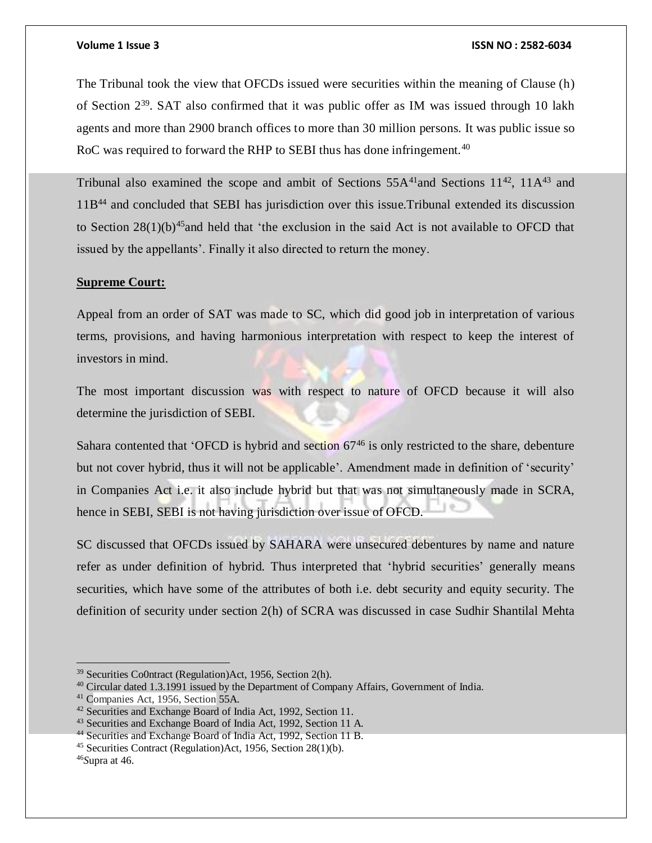The Tribunal took the view that OFCDs issued were securities within the meaning of Clause (h) of Section  $2^{39}$ . SAT also confirmed that it was public offer as IM was issued through 10 lakh agents and more than 2900 branch offices to more than 30 million persons. It was public issue so RoC was required to forward the RHP to SEBI thus has done infringement.<sup>40</sup>

Tribunal also examined the scope and ambit of Sections  $55A<sup>41</sup>$  and Sections  $11<sup>42</sup>$ ,  $11A<sup>43</sup>$  and 11B<sup>44</sup> and concluded that SEBI has jurisdiction over this issue.Tribunal extended its discussion to Section  $28(1)(b)^{45}$  and held that 'the exclusion in the said Act is not available to OFCD that issued by the appellants'. Finally it also directed to return the money.

### **Supreme Court:**

Appeal from an order of SAT was made to SC, which did good job in interpretation of various terms, provisions, and having harmonious interpretation with respect to keep the interest of investors in mind.

The most important discussion was with respect to nature of OFCD because it will also determine the jurisdiction of SEBI.

Sahara contented that 'OFCD is hybrid and section  $67<sup>46</sup>$  is only restricted to the share, debenture but not cover hybrid, thus it will not be applicable'. Amendment made in definition of 'security' in Companies Act i.e. it also include hybrid but that was not simultaneously made in SCRA, hence in SEBI, SEBI is not having jurisdiction over issue of OFCD.

SC discussed that OFCDs issued by SAHARA were unsecured debentures by name and nature refer as under definition of hybrid. Thus interpreted that 'hybrid securities' generally means securities, which have some of the attributes of both i.e. debt security and equity security. The definition of security under section 2(h) of SCRA was discussed in case Sudhir Shantilal Mehta

 $\overline{a}$ 

<sup>39</sup> Securities Co0ntract (Regulation)Act, 1956, Section 2(h).

<sup>&</sup>lt;sup>40</sup> Circular dated 1.3.1991 issued by the Department of Company Affairs, Government of India.

<sup>41</sup> Companies Act, 1956, Section 55A.

<sup>42</sup> Securities and Exchange Board of India Act, 1992, Section 11.

<sup>43</sup> Securities and Exchange Board of India Act, 1992, Section 11 A.

<sup>44</sup> Securities and Exchange Board of India Act, 1992, Section 11 B.

<sup>45</sup> Securities Contract (Regulation)Act, 1956, Section 28(1)(b).

<sup>46</sup>*S*upra at 46.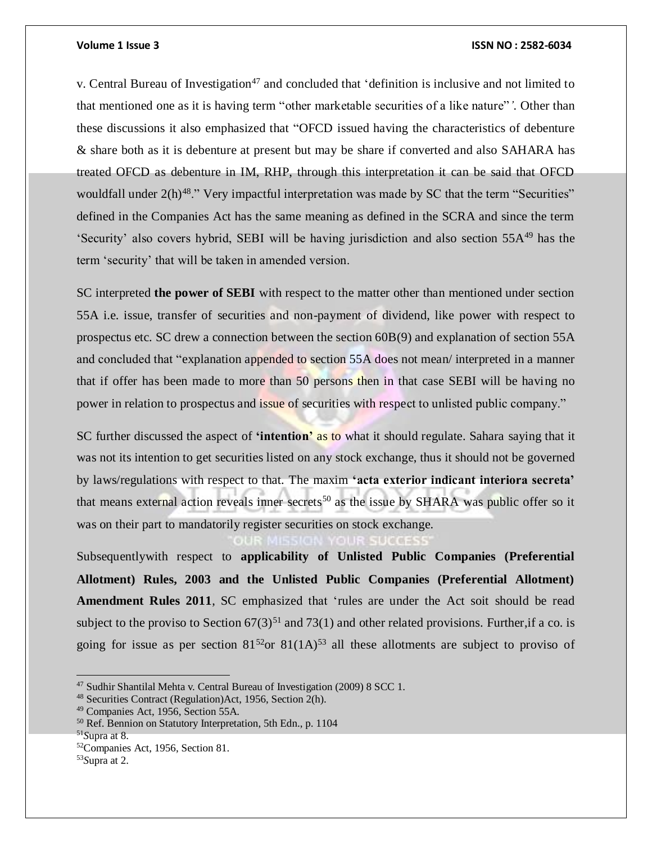v. Central Bureau of Investigation<sup>47</sup> and concluded that 'definition is inclusive and not limited to that mentioned one as it is having term "other marketable securities of a like nature"*'.* Other than these discussions it also emphasized that "OFCD issued having the characteristics of debenture & share both as it is debenture at present but may be share if converted and also SAHARA has treated OFCD as debenture in IM, RHP, through this interpretation it can be said that OFCD wouldfall under  $2(h)^{48}$ ." Very impactful interpretation was made by SC that the term "Securities" defined in the Companies Act has the same meaning as defined in the SCRA and since the term 'Security' also covers hybrid, SEBI will be having jurisdiction and also section 55A<sup>49</sup> has the term 'security' that will be taken in amended version.

SC interpreted **the power of SEBI** with respect to the matter other than mentioned under section 55A i.e. issue, transfer of securities and non-payment of dividend, like power with respect to prospectus etc. SC drew a connection between the section 60B(9) and explanation of section 55A and concluded that "explanation appended to section 55A does not mean/ interpreted in a manner that if offer has been made to more than 50 persons then in that case SEBI will be having no power in relation to prospectus and issue of securities with respect to unlisted public company."

SC further discussed the aspect of **'intention'** as to what it should regulate. Sahara saying that it was not its intention to get securities listed on any stock exchange, thus it should not be governed by laws/regulations with respect to that. The maxim **'acta exterior indicant interiora secreta'** that means external action reveals inner secrets<sup>50</sup> as the issue by SHARA was public offer so it was on their part to mandatorily register securities on stock exchange.

Subsequentlywith respect to **applicability of Unlisted Public Companies (Preferential Allotment) Rules, 2003 and the Unlisted Public Companies (Preferential Allotment) Amendment Rules 2011**, SC emphasized that 'rules are under the Act soit should be read subject to the proviso to Section  $67(3)^{51}$  and  $73(1)$  and other related provisions. Further, if a co. is going for issue as per section  $81^{52}$ or  $81(1A)^{53}$  all these allotments are subject to proviso of

<sup>47</sup> Sudhir Shantilal Mehta v. Central Bureau of Investigation (2009) 8 SCC 1.

<sup>48</sup> Securities Contract (Regulation)Act, 1956, Section 2(h).

<sup>49</sup> Companies Act, 1956, Section 55A.

<sup>50</sup> Ref. Bennion on Statutory Interpretation, 5th Edn., p. 1104

<sup>51</sup>*S*upra at 8.

<sup>52</sup>Companies Act, 1956, Section 81.

<sup>53</sup>*S*upra at 2.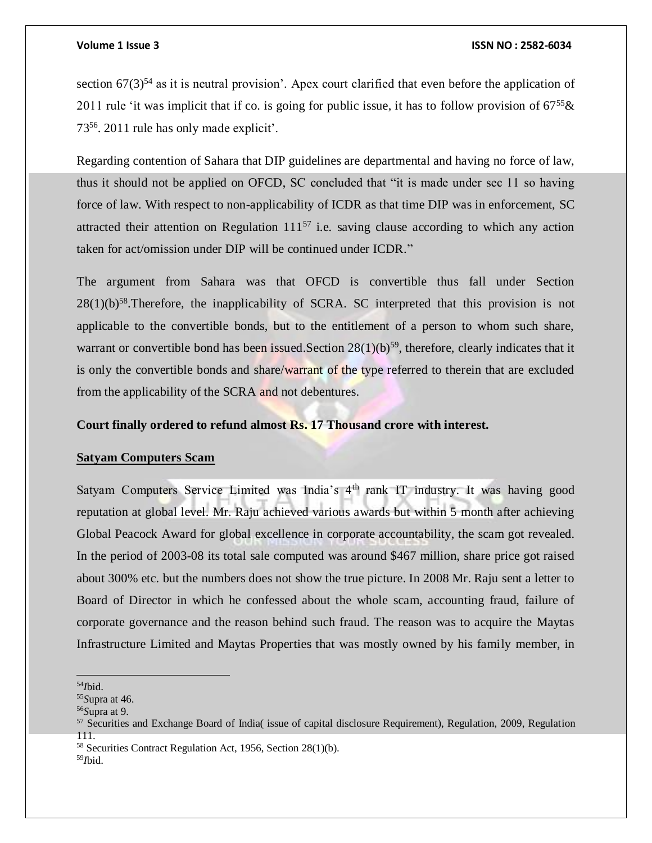section  $67(3)^{54}$  as it is neutral provision'. Apex court clarified that even before the application of 2011 rule 'it was implicit that if co. is going for public issue, it has to follow provision of  $67^{55}$ & 73<sup>56</sup>. 2011 rule has only made explicit'.

Regarding contention of Sahara that DIP guidelines are departmental and having no force of law, thus it should not be applied on OFCD, SC concluded that "it is made under sec 11 so having force of law. With respect to non-applicability of ICDR as that time DIP was in enforcement, SC attracted their attention on Regulation  $111^{57}$  i.e. saving clause according to which any action taken for act/omission under DIP will be continued under ICDR."

The argument from Sahara was that OFCD is convertible thus fall under Section  $28(1)(b)^{58}$ . Therefore, the inapplicability of SCRA. SC interpreted that this provision is not applicable to the convertible bonds, but to the entitlement of a person to whom such share, warrant or convertible bond has been issued. Section  $28(1)(b)^{59}$ , therefore, clearly indicates that it is only the convertible bonds and share/warrant of the type referred to therein that are excluded from the applicability of the SCRA and not debentures.

### **Court finally ordered to refund almost Rs. 17 Thousand crore with interest.**

### **Satyam Computers Scam**

Satyam Computers Service Limited was India's 4<sup>th</sup> rank IT industry. It was having good reputation at global level. Mr. Raju achieved various awards but within 5 month after achieving Global Peacock Award for global excellence in corporate accountability, the scam got revealed. In the period of 2003-08 its total sale computed was around \$467 million, share price got raised about 300% etc. but the numbers does not show the true picture. In 2008 Mr. Raju sent a letter to Board of Director in which he confessed about the whole scam, accounting fraud, failure of corporate governance and the reason behind such fraud. The reason was to acquire the Maytas Infrastructure Limited and Maytas Properties that was mostly owned by his family member, in

 <sup>54</sup>*I*bid.

<sup>55</sup>*S*upra at 46.

<sup>56</sup>*S*upra at 9.

<sup>&</sup>lt;sup>57</sup> Securities and Exchange Board of India( issue of capital disclosure Requirement), Regulation, 2009, Regulation 111.

<sup>58</sup> Securities Contract Regulation Act, 1956, Section 28(1)(b).

<sup>59</sup>*I*bid.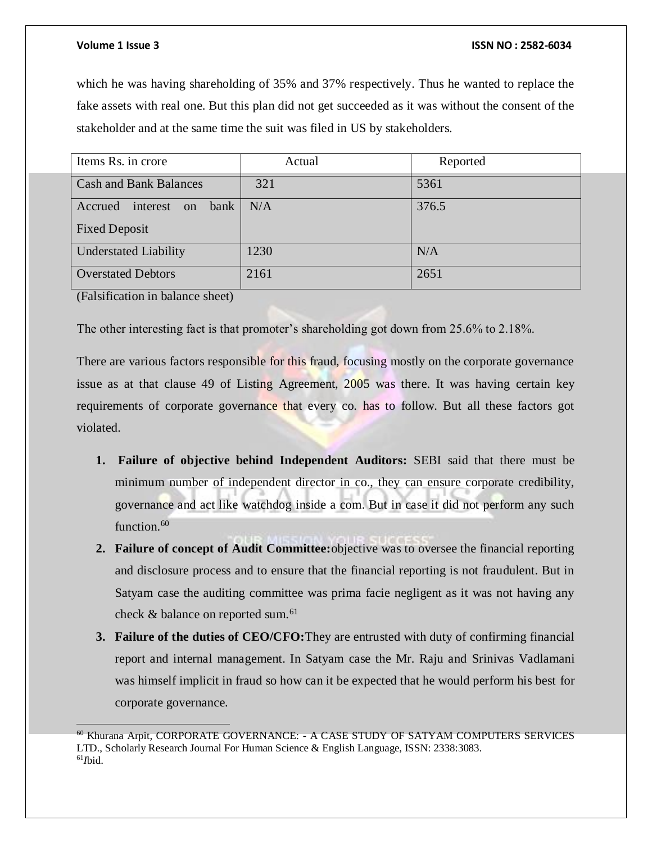which he was having shareholding of 35% and 37% respectively. Thus he wanted to replace the fake assets with real one. But this plan did not get succeeded as it was without the consent of the stakeholder and at the same time the suit was filed in US by stakeholders.

| Items Rs. in crore                | Actual | Reported |
|-----------------------------------|--------|----------|
| <b>Cash and Bank Balances</b>     | 321    | 5361     |
| bank<br>Accrued<br>interest<br>on | N/A    | 376.5    |
| <b>Fixed Deposit</b>              |        |          |
| <b>Understated Liability</b>      | 1230   | N/A      |
| <b>Overstated Debtors</b>         | 2161   | 2651     |

(Falsification in balance sheet)

The other interesting fact is that promoter's shareholding got down from 25.6% to 2.18%.

There are various factors responsible for this fraud, focusing mostly on the corporate governance issue as at that clause 49 of Listing Agreement, 2005 was there. It was having certain key requirements of corporate governance that every co. has to follow. But all these factors got violated.

- **1. Failure of objective behind Independent Auditors:** SEBI said that there must be minimum number of independent director in co., they can ensure corporate credibility, governance and act like watchdog inside a com. But in case it did not perform any such function.<sup>60</sup>
- **2. Failure of concept of Audit Committee:**objective was to oversee the financial reporting and disclosure process and to ensure that the financial reporting is not fraudulent. But in Satyam case the auditing committee was prima facie negligent as it was not having any check & balance on reported sum.<sup>61</sup>
- **3. Failure of the duties of CEO/CFO:**They are entrusted with duty of confirming financial report and internal management. In Satyam case the Mr. Raju and Srinivas Vadlamani was himself implicit in fraud so how can it be expected that he would perform his best for corporate governance.

 $60$  Khurana Arpit, CORPORATE GOVERNANCE:  $-$  A CASE STUDY OF SATYAM COMPUTERS SERVICES LTD., Scholarly Research Journal For Human Science & English Language, ISSN: 2338:3083. 61*I*bid.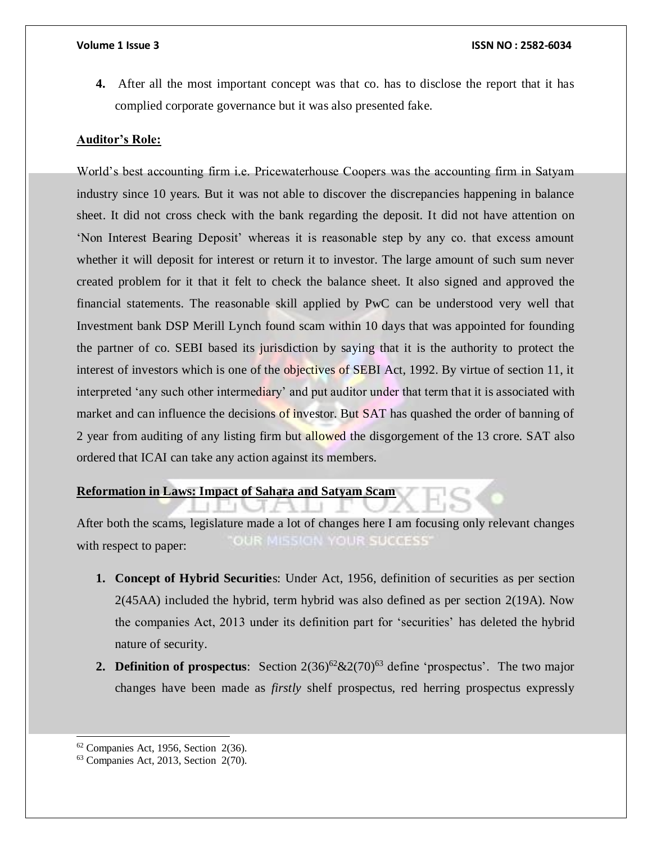**4.** After all the most important concept was that co. has to disclose the report that it has complied corporate governance but it was also presented fake.

### **Auditor's Role:**

World's best accounting firm i.e. Pricewaterhouse Coopers was the accounting firm in Satyam industry since 10 years. But it was not able to discover the discrepancies happening in balance sheet. It did not cross check with the bank regarding the deposit. It did not have attention on 'Non Interest Bearing Deposit' whereas it is reasonable step by any co. that excess amount whether it will deposit for interest or return it to investor. The large amount of such sum never created problem for it that it felt to check the balance sheet. It also signed and approved the financial statements. The reasonable skill applied by PwC can be understood very well that Investment bank DSP Merill Lynch found scam within 10 days that was appointed for founding the partner of co. SEBI based its jurisdiction by saying that it is the authority to protect the interest of investors which is one of the objectives of SEBI Act, 1992. By virtue of section 11, it interpreted 'any such other intermediary' and put auditor under that term that it is associated with market and can influence the decisions of investor. But SAT has quashed the order of banning of 2 year from auditing of any listing firm but allowed the disgorgement of the 13 crore. SAT also ordered that ICAI can take any action against its members.

### **Reformation in Laws: Impact of Sahara and Satyam Scam**

After both the scams, legislature made a lot of changes here I am focusing only relevant changes **OUR MISSION YOUR SUCCESS** with respect to paper:

- **1. Concept of Hybrid Securitie**s: Under Act, 1956, definition of securities as per section 2(45AA) included the hybrid, term hybrid was also defined as per section 2(19A). Now the companies Act, 2013 under its definition part for 'securities' has deleted the hybrid nature of security.
- **2. Definition of prospectus**: Section  $2(36)^{62}$  & $2(70)^{63}$  define 'prospectus'. The two major changes have been made as *firstly* shelf prospectus, red herring prospectus expressly

l

 $62$  Companies Act, 1956, Section 2(36).

<sup>63</sup> Companies Act, 2013, Section 2(70).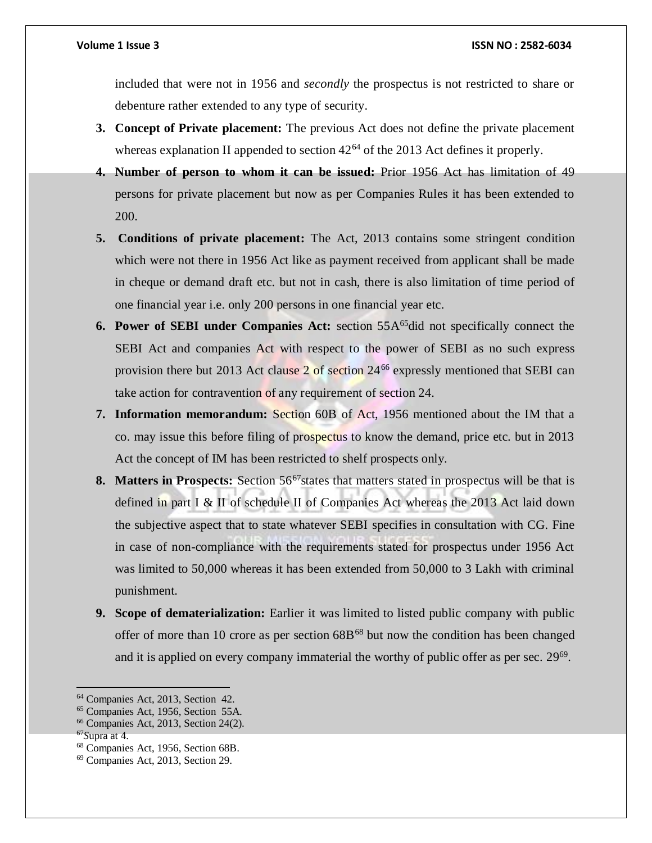included that were not in 1956 and *secondly* the prospectus is not restricted to share or debenture rather extended to any type of security.

- **3. Concept of Private placement:** The previous Act does not define the private placement whereas explanation II appended to section  $42^{64}$  of the 2013 Act defines it properly.
- **4. Number of person to whom it can be issued:** Prior 1956 Act has limitation of 49 persons for private placement but now as per Companies Rules it has been extended to 200.
- **5. Conditions of private placement:** The Act, 2013 contains some stringent condition which were not there in 1956 Act like as payment received from applicant shall be made in cheque or demand draft etc. but not in cash, there is also limitation of time period of one financial year i.e. only 200 persons in one financial year etc.
- **6. Power of SEBI under Companies Act:** section 55A<sup>65</sup>did not specifically connect the SEBI Act and companies Act with respect to the power of SEBI as no such express provision there but 2013 Act clause  $2$  of section  $24^{66}$  expressly mentioned that SEBI can take action for contravention of any requirement of section 24.
- **7. Information memorandum:** Section 60B of Act, 1956 mentioned about the IM that a co. may issue this before filing of prospectus to know the demand, price etc. but in 2013 Act the concept of IM has been restricted to shelf prospects only.
- **8. Matters in Prospects:** Section 56<sup>67</sup> states that matters stated in prospectus will be that is defined in part I & II of schedule II of Companies Act whereas the 2013 Act laid down the subjective aspect that to state whatever SEBI specifies in consultation with CG. Fine in case of non-compliance with the requirements stated for prospectus under 1956 Act was limited to 50,000 whereas it has been extended from 50,000 to 3 Lakh with criminal punishment.
- **9. Scope of dematerialization:** Earlier it was limited to listed public company with public offer of more than 10 crore as per section  $68B^{68}$  but now the condition has been changed and it is applied on every company immaterial the worthy of public offer as per sec. 29<sup>69</sup>.

<sup>64</sup> Companies Act, 2013, Section 42.

<sup>65</sup> Companies Act, 1956, Section 55A.

<sup>66</sup> Companies Act, 2013, Section 24(2).

<sup>67</sup>*S*upra at 4.

<sup>68</sup> Companies Act, 1956, Section 68B.

<sup>69</sup> Companies Act, 2013, Section 29.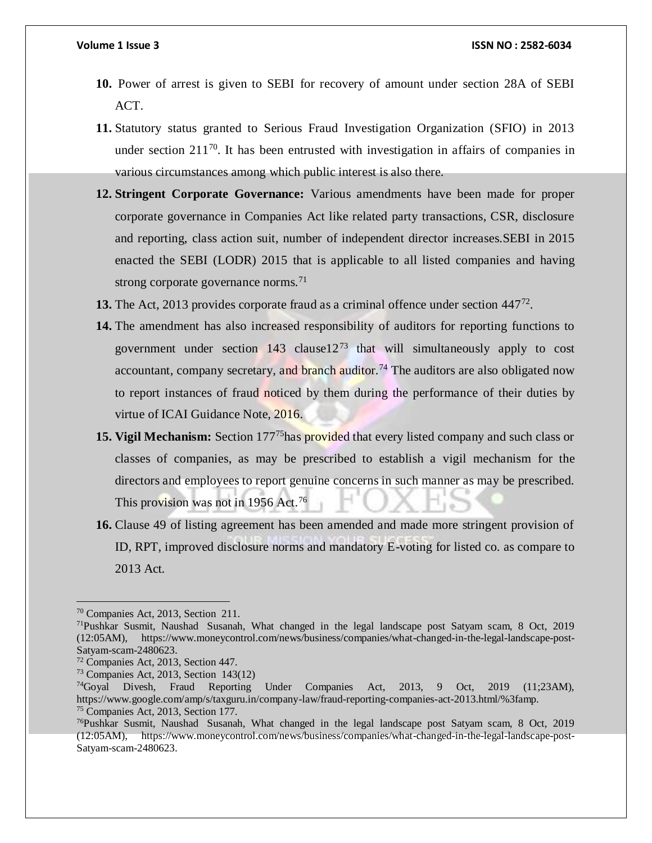- **10.** Power of arrest is given to SEBI for recovery of amount under section 28A of SEBI ACT.
- **11.** Statutory status granted to Serious Fraud Investigation Organization (SFIO) in 2013 under section 211<sup>70</sup>. It has been entrusted with investigation in affairs of companies in various circumstances among which public interest is also there.
- **12. Stringent Corporate Governance:** Various amendments have been made for proper corporate governance in Companies Act like related party transactions, CSR, disclosure and reporting, class action suit, number of independent director increases.SEBI in 2015 enacted the SEBI (LODR) 2015 that is applicable to all listed companies and having strong corporate governance norms.<sup>71</sup>
- 13. The Act, 2013 provides corporate fraud as a criminal offence under section 447<sup>72</sup>.
- **14.** The amendment has also increased responsibility of auditors for reporting functions to government under section  $143$  clause $12^{73}$  that will simultaneously apply to cost accountant, company secretary, and branch auditor.<sup>74</sup> The auditors are also obligated now to report instances of fraud noticed by them during the performance of their duties by virtue of ICAI Guidance Note, 2016.
- **15. Vigil Mechanism:** Section 177<sup>75</sup>has provided that every listed company and such class or classes of companies, as may be prescribed to establish a vigil mechanism for the directors and employees to report genuine concerns in such manner as may be prescribed. This provision was not in 1956 Act.<sup>76</sup>
- **16.** Clause 49 of listing agreement has been amended and made more stringent provision of ID, RPT, improved disclosure norms and mandatory E-voting for listed co. as compare to 2013 Act.

<sup>70</sup> Companies Act, 2013, Section 211.

<sup>71</sup>Pushkar Susmit, Naushad Susanah, What changed in the legal landscape post Satyam scam, 8 Oct, 2019 (12:05AM), https://www.moneycontrol.com/news/business/companies/what-changed-in-the-legal-landscape-post-Satyam-scam-2480623.

<sup>72</sup> Companies Act, 2013, Section 447.

 $73$  Companies Act, 2013, Section 143(12)

<sup>74</sup>Goyal Divesh, Fraud Reporting Under Companies Act, 2013, 9 Oct, 2019 (11;23AM), https://www.google.com/amp/s/taxguru.in/company-law/fraud-reporting-companies-act-2013.html/%3famp. <sup>75</sup> Companies Act, 2013, Section 177.

<sup>76</sup>Pushkar Susmit, Naushad Susanah, What changed in the legal landscape post Satyam scam, 8 Oct, 2019 (12:05AM), https://www.moneycontrol.com/news/business/companies/what-changed-in-the-legal-landscape-post-Satyam-scam-2480623.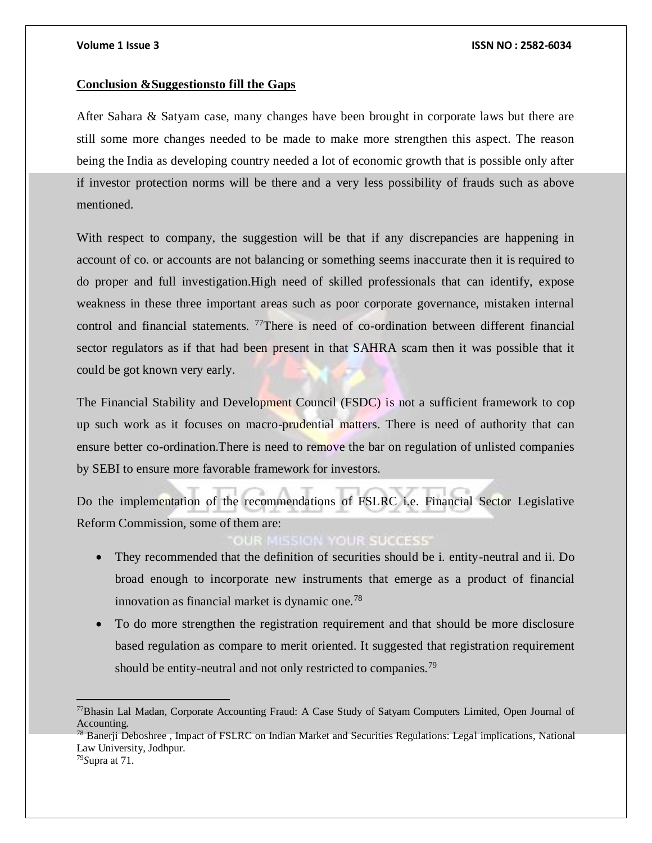### **Conclusion &Suggestionsto fill the Gaps**

After Sahara & Satyam case, many changes have been brought in corporate laws but there are still some more changes needed to be made to make more strengthen this aspect. The reason being the India as developing country needed a lot of economic growth that is possible only after if investor protection norms will be there and a very less possibility of frauds such as above mentioned.

With respect to company, the suggestion will be that if any discrepancies are happening in account of co. or accounts are not balancing or something seems inaccurate then it is required to do proper and full investigation.High need of skilled professionals that can identify, expose weakness in these three important areas such as poor corporate governance, mistaken internal control and financial statements. <sup>77</sup>There is need of co-ordination between different financial sector regulators as if that had been present in that SAHRA scam then it was possible that it could be got known very early.

The Financial Stability and Development Council (FSDC) is not a sufficient framework to cop up such work as it focuses on macro-prudential matters. There is need of authority that can ensure better co-ordination.There is need to remove the bar on regulation of unlisted companies by SEBI to ensure more favorable framework for investors.

Do the implementation of the recommendations of FSLRC i.e. Financial Sector Legislative Reform Commission, some of them are:

### **R MISSION YOUR SUCCESS**

- They recommended that the definition of securities should be i. entity-neutral and ii. Do broad enough to incorporate new instruments that emerge as a product of financial innovation as financial market is dynamic one.<sup>78</sup>
- To do more strengthen the registration requirement and that should be more disclosure based regulation as compare to merit oriented. It suggested that registration requirement should be entity-neutral and not only restricted to companies.<sup>79</sup>

 $\overline{a}$ 

<sup>77</sup>Bhasin Lal Madan, Corporate Accounting Fraud: A Case Study of Satyam Computers Limited, Open Journal of Accounting.

<sup>&</sup>lt;sup>78</sup> Banerii Deboshree, Impact of FSLRC on Indian Market and Securities Regulations: Legal implications, National Law University, Jodhpur.

<sup>79</sup>*S*upra at 71.